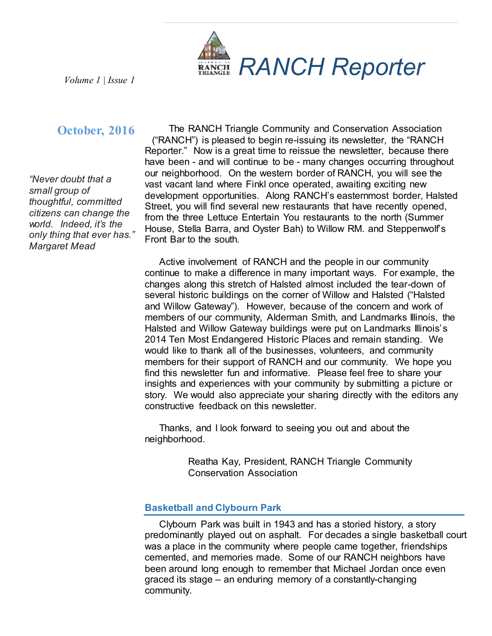

# **October, 2016**

*"Never doubt that a small group of thoughtful, committed citizens can change the world. Indeed, it's the only thing that ever has." Margaret Mead*

The RANCH Triangle Community and Conservation Association ("RANCH") is pleased to begin re-issuing its newsletter, the "RANCH Reporter." Now is a great time to reissue the newsletter, because there have been - and will continue to be - many changes occurring throughout our neighborhood. On the western border of RANCH, you will see the vast vacant land where Finkl once operated, awaiting exciting new development opportunities. Along RANCH's easternmost border, Halsted Street, you will find several new restaurants that have recently opened, from the three Lettuce Entertain You restaurants to the north (Summer House, Stella Barra, and Oyster Bah) to Willow RM. and Steppenwolf's Front Bar to the south.

Active involvement of RANCH and the people in our community continue to make a difference in many important ways. For example, the changes along this stretch of Halsted almost included the tear-down of several historic buildings on the corner of Willow and Halsted ("Halsted and Willow Gateway"). However, because of the concern and work of members of our community, Alderman Smith, and Landmarks Illinois, the Halsted and Willow Gateway buildings were put on Landmarks Illinois's 2014 Ten Most Endangered Historic Places and remain standing. We would like to thank all of the businesses, volunteers, and community members for their support of RANCH and our community. We hope you find this newsletter fun and informative. Please feel free to share your insights and experiences with your community by submitting a picture or story. We would also appreciate your sharing directly with the editors any constructive feedback on this newsletter.

Thanks, and I look forward to seeing you out and about the neighborhood.

> Reatha Kay, President, RANCH Triangle Community Conservation Association

## **Basketball and Clybourn Park**

Clybourn Park was built in 1943 and has a storied history, a story predominantly played out on asphalt. For decades a single basketball court was a place in the community where people came together, friendships cemented, and memories made. Some of our RANCH neighbors have been around long enough to remember that Michael Jordan once even graced its stage – an enduring memory of a constantly-changing community.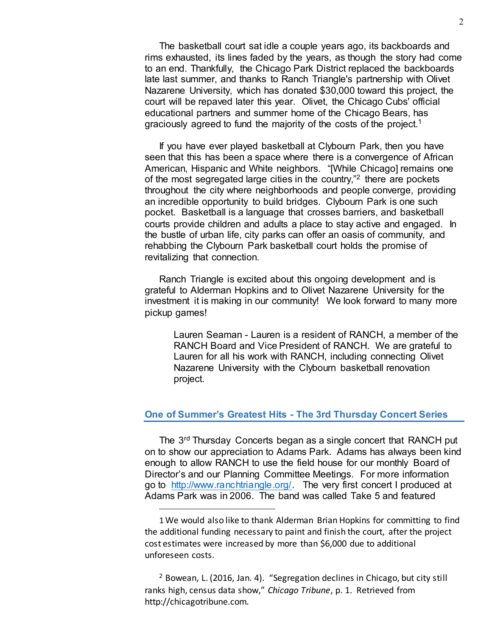The basketball court sat idle a couple years ago, its backboards and rims exhausted, its lines faded by the years, as though the story had come to an end. Thankfully, the Chicago Park District replaced the backboards late last summer, and thanks to Ranch Triangle's partnership with Olivet Nazarene University, which has donated \$30,000 toward this project, the court will be repaved later this year. Olivet, the Chicago Cubs' official educational partners and summer home of the Chicago Bears, has graciously agreed to fund the majority of the costs of the project.1

If you have ever played basketball at Clybourn Park, then you have seen that this has been a space where there is a convergence of African American, Hispanic and White neighbors. "[While Chicago] remains one of the most segregated large cities in the country,"<sup>2</sup> there are pockets throughout the city where neighborhoods and people converge, providing an incredible opportunity to build bridges. Clybourn Park is one such pocket. Basketball is a language that crosses barriers, and basketball courts provide children and adults a place to stay active and engaged. In the bustle of urban life, city parks can offer an oasis of community, and rehabbing the Clybourn Park basketball court holds the promise of revitalizing that connection.

Ranch Triangle is excited about this ongoing development and is grateful to Alderman Hopkins and to Olivet Nazarene University for the investment it is making in our community! We look forward to many more pickup games!

Lauren Seaman - Lauren is a resident of RANCH, a member of the RANCH Board and Vice President of RANCH. We are grateful to Lauren for all his work with RANCH, including connecting Olivet Nazarene University with the Clybourn basketball renovation project.

#### **One of Summer's Greatest Hits - The 3rd Thursday Concert Series**

The 3rd Thursday Concerts began as a single concert that RANCH put on to show our appreciation to Adams Park. Adams has always been kind enough to allow RANCH to use the field house for our monthly Board of Director's and our Planning Committee Meetings. For more information go to http://www.ranchtriangle.org/. The very first concert I produced at Adams Park was in 2006. The band was called Take 5 and featured

 $\overline{a}$ 

<sup>1</sup> We would also like to thank Alderman Brian Hopkins for committing to find the additional funding necessary to paint and finish the court, after the project cost estimates were increased by more than \$6,000 due to additional unforeseen costs.

<sup>2</sup> Bowean, L. (2016, Jan. 4). "Segregation declines in Chicago, but city still ranks high, census data show," *Chicago Tribune*, p. 1. Retrieved from http://chicagotribune.com.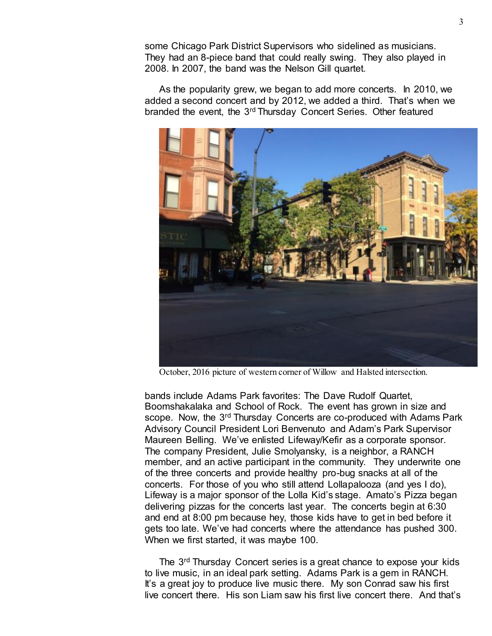some Chicago Park District Supervisors who sidelined as musicians. They had an 8-piece band that could really swing. They also played in 2008. In 2007, the band was the Nelson Gill quartet.

As the popularity grew, we began to add more concerts. In 2010, we added a second concert and by 2012, we added a third. That's when we branded the event, the 3rd Thursday Concert Series. Other featured



October, 2016 picture of western corner of Willow and Halsted intersection.

bands include Adams Park favorites: The Dave Rudolf Quartet, Boomshakalaka and School of Rock. The event has grown in size and scope. Now, the 3<sup>rd</sup> Thursday Concerts are co-produced with Adams Park Advisory Council President Lori Benvenuto and Adam's Park Supervisor Maureen Belling. We've enlisted Lifeway/Kefir as a corporate sponsor. The company President, Julie Smolyansky, is a neighbor, a RANCH member, and an active participant in the community. They underwrite one of the three concerts and provide healthy pro-bug snacks at all of the concerts. For those of you who still attend Lollapalooza (and yes I do), Lifeway is a major sponsor of the Lolla Kid's stage. Amato's Pizza began delivering pizzas for the concerts last year. The concerts begin at 6:30 and end at 8:00 pm because hey, those kids have to get in bed before it gets too late. We've had concerts where the attendance has pushed 300. When we first started, it was maybe 100.

The 3<sup>rd</sup> Thursday Concert series is a great chance to expose your kids to live music, in an ideal park setting. Adams Park is a gem in RANCH. It's a great joy to produce live music there. My son Conrad saw his first live concert there. His son Liam saw his first live concert there. And that's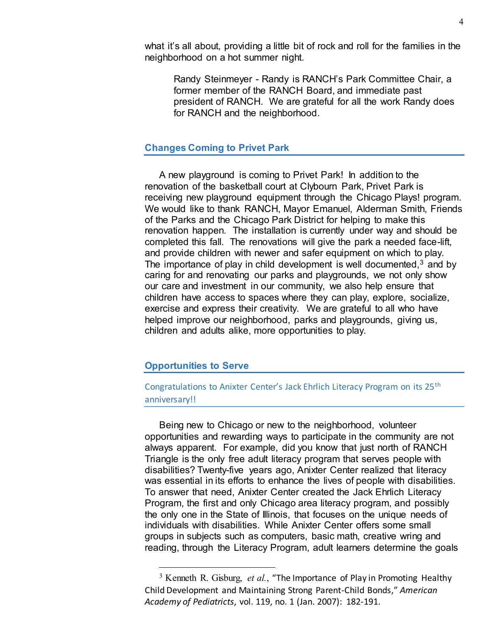what it's all about, providing a little bit of rock and roll for the families in the neighborhood on a hot summer night.

Randy Steinmeyer - Randy is RANCH's Park Committee Chair, a former member of the RANCH Board, and immediate past president of RANCH. We are grateful for all the work Randy does for RANCH and the neighborhood.

### **Changes Coming to Privet Park**

A new playground is coming to Privet Park! In addition to the renovation of the basketball court at Clybourn Park, Privet Park is receiving new playground equipment through the Chicago Plays! program. We would like to thank RANCH, Mayor Emanuel, Alderman Smith, Friends of the Parks and the Chicago Park District for helping to make this renovation happen. The installation is currently under way and should be completed this fall. The renovations will give the park a needed face-lift, and provide children with newer and safer equipment on which to play. The importance of play in child development is well documented, $3$  and by caring for and renovating our parks and playgrounds, we not only show our care and investment in our community, we also help ensure that children have access to spaces where they can play, explore, socialize, exercise and express their creativity. We are grateful to all who have helped improve our neighborhood, parks and playgrounds, giving us, children and adults alike, more opportunities to play.

#### **Opportunities to Serve**

## Congratulations to Anixter Center's Jack Ehrlich Literacy Program on its 25th anniversary!!

Being new to Chicago or new to the neighborhood, volunteer opportunities and rewarding ways to participate in the community are not always apparent. For example, did you know that just north of RANCH Triangle is the only free adult literacy program that serves people with disabilities? Twenty-five years ago, Anixter Center realized that literacy was essential in its efforts to enhance the lives of people with disabilities. To answer that need, Anixter Center created the Jack Ehrlich Literacy Program, the first and only Chicago area literacy program, and possibly the only one in the State of Illinois, that focuses on the unique needs of individuals with disabilities. While Anixter Center offers some small groups in subjects such as computers, basic math, creative wring and reading, through the Literacy Program, adult learners determine the goals

 <sup>3</sup> Kenneth R. Gisburg, *et al.*, "The Importance of Play in Promoting Healthy Child Development and Maintaining Strong Parent-Child Bonds," *American Academy of Pediatricts*, vol. 119, no. 1 (Jan. 2007): 182-191.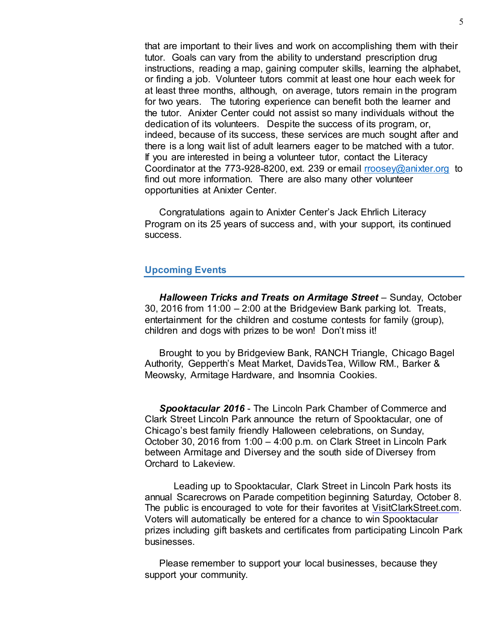that are important to their lives and work on accomplishing them with their tutor. Goals can vary from the ability to understand prescription drug instructions, reading a map, gaining computer skills, learning the alphabet, or finding a job. Volunteer tutors commit at least one hour each week for at least three months, although, on average, tutors remain in the program for two years. The tutoring experience can benefit both the learner and the tutor. Anixter Center could not assist so many individuals without the dedication of its volunteers. Despite the success of its program, or, indeed, because of its success, these services are much sought after and there is a long wait list of adult learners eager to be matched with a tutor. If you are interested in being a volunteer tutor, contact the Literacy Coordinator at the 773-928-8200, ext. 239 or email rroosey@anixter.org to find out more information. There are also many other volunteer opportunities at Anixter Center.

Congratulations again to Anixter Center's Jack Ehrlich Literacy Program on its 25 years of success and, with your support, its continued success.

### **Upcoming Events**

*Halloween Tricks and Treats on Armitage Street* – Sunday, October 30, 2016 from 11:00 – 2:00 at the Bridgeview Bank parking lot. Treats, entertainment for the children and costume contests for family (group), children and dogs with prizes to be won! Don't miss it!

Brought to you by Bridgeview Bank, RANCH Triangle, Chicago Bagel Authority, Gepperth's Meat Market, DavidsTea, Willow RM., Barker & Meowsky, Armitage Hardware, and Insomnia Cookies.

*Spooktacular 2016* - The Lincoln Park Chamber of Commerce and Clark Street Lincoln Park announce the return of Spooktacular, one of Chicago's best family friendly Halloween celebrations, on Sunday, October 30, 2016 from 1:00 – 4:00 p.m. on Clark Street in Lincoln Park between Armitage and Diversey and the south side of Diversey from Orchard to Lakeview.

Leading up to Spooktacular, Clark Street in Lincoln Park hosts its annual Scarecrows on Parade competition beginning Saturday, October 8. The public is encouraged to vote for their favorites at VisitClarkStreet.com. Voters will automatically be entered for a chance to win Spooktacular prizes including gift baskets and certificates from participating Lincoln Park businesses.

Please remember to support your local businesses, because they support your community.